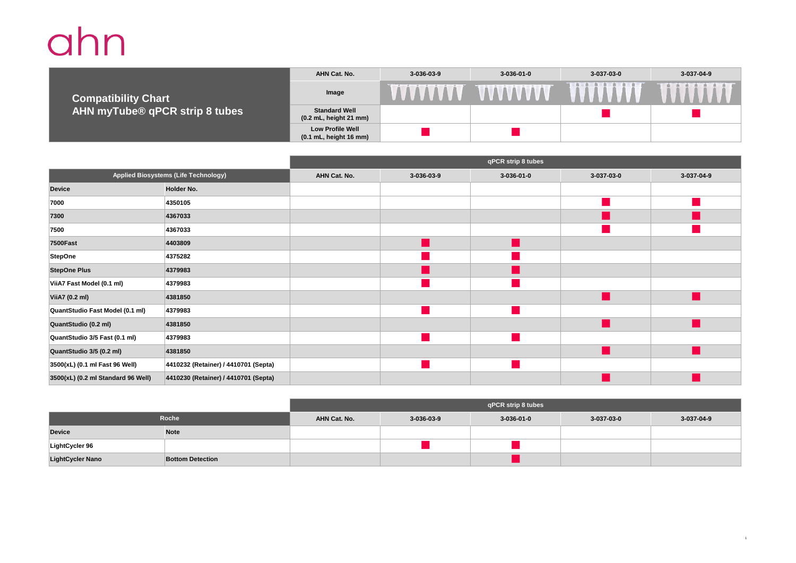## ahn

**AHN Cat. No. 3-036-03-9 3-036-01-0 3-037-03-0 3-037-04-9 TITTITTI VVVVVVVV Image Compatibility Chart Standard Well**<br>(0.2 mL, height 21 mm) **AHN myTube® qPCR strip 8 tubes (1)** Standard Well **neighborhood in the contract of the contract of the contract of the contract of the contract of the contract of the contract of the contract of the contract of the contract of the contract of the contr Low Profile Well (0.1 mL, height 16 mm)** n n

|                                      |                                      | qPCR strip 8 tubes |            |              |                        |            |
|--------------------------------------|--------------------------------------|--------------------|------------|--------------|------------------------|------------|
| Applied Biosystems (Life Technology) |                                      | AHN Cat. No.       | 3-036-03-9 | $3-036-01-0$ | 3-037-03-0             | 3-037-04-9 |
| <b>Device</b>                        | Holder No.                           |                    |            |              |                        |            |
| 7000                                 | 4350105                              |                    |            |              |                        |            |
| 7300                                 | 4367033                              |                    |            |              |                        |            |
| 7500                                 | 4367033                              |                    |            |              |                        |            |
| <b>7500Fast</b>                      | 4403809                              |                    |            |              |                        |            |
| <b>StepOne</b>                       | 4375282                              |                    |            |              |                        |            |
| <b>StepOne Plus</b>                  | 4379983                              |                    |            |              |                        |            |
| ViiA7 Fast Model (0.1 ml)            | 4379983                              |                    |            |              |                        |            |
| ViiA7 (0.2 ml)                       | 4381850                              |                    |            |              | ×.                     |            |
| QuantStudio Fast Model (0.1 ml)      | 4379983                              |                    |            |              |                        |            |
| QuantStudio (0.2 ml)                 | 4381850                              |                    |            |              | <b>Service Service</b> |            |
| QuantStudio 3/5 Fast (0.1 ml)        | 4379983                              |                    |            |              |                        |            |
| QuantStudio 3/5 (0.2 ml)             | 4381850                              |                    |            |              | ×.                     |            |
| 3500(xL) (0.1 ml Fast 96 Well)       | 4410232 (Retainer) / 4410701 (Septa) |                    |            |              |                        |            |
| 3500(xL) (0.2 ml Standard 96 Well)   | 4410230 (Retainer) / 4410701 (Septa) |                    |            |              |                        |            |

|                         |                         | qPCR strip 8 tubes |                    |            |            |            |
|-------------------------|-------------------------|--------------------|--------------------|------------|------------|------------|
| Roche                   |                         | AHN Cat. No.       | $3 - 036 - 03 - 9$ | 3-036-01-0 | 3-037-03-0 | 3-037-04-9 |
| <b>Device</b>           | <b>Note</b>             |                    |                    |            |            |            |
| LightCycler 96          |                         |                    |                    |            |            |            |
| <b>LightCycler Nano</b> | <b>Bottom Detection</b> |                    |                    |            |            |            |